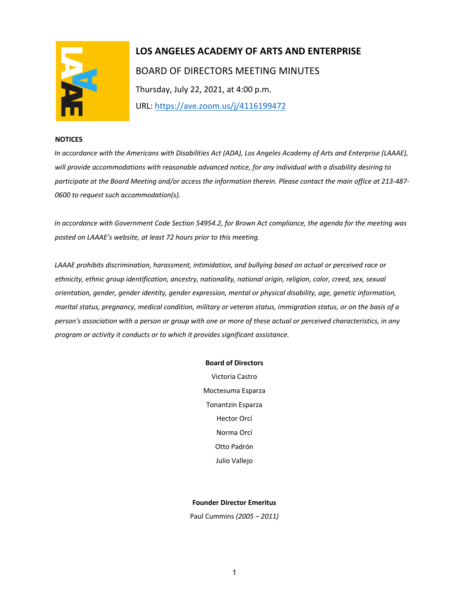

# **LOS ANGELES ACADEMY OF ARTS AND ENTERPRISE**  BOARD OF DIRECTORS MEETING MINUTES Thursday, July 22, 2021, at 4:00 p.m. URL: https://ave.zoom.us/j/4116199472

#### **NOTICES**

*In accordance with the Americans with Disabilities Act (ADA), Los Angeles Academy of Arts and Enterprise (LAAAE), will provide accommodations with reasonable advanced notice, for any individual with a disability desiring to participate at the Board Meeting and/or access the information therein. Please contact the main office at 213-487- 0600 to request such accommodation(s).* 

*In accordance with Government Code Section 54954.2, for Brown Act compliance, the agenda for the meeting was posted on LAAAE's website, at least 72 hours prior to this meeting.* 

*LAAAE prohibits discrimination, harassment, intimidation, and bullying based on actual or perceived race or ethnicity, ethnic group identification, ancestry, nationality, national origin, religion, color, creed, sex, sexual orientation, gender, gender identity, gender expression, mental or physical disability, age, genetic information, marital status, pregnancy, medical condition, military or veteran status, immigration status, or on the basis of a person's association with a person or group with one or more of these actual or perceived characteristics, in any program or activity it conducts or to which it provides significant assistance.* 

#### **Board of Directors**

Victoria Castro Moctesuma Esparza Tonantzin Esparza Hector Orcí Norma Orcí Otto Padrón Julio Vallejo

#### **Founder Director Emeritus**

Paul Cummins *(2005 – 2011)*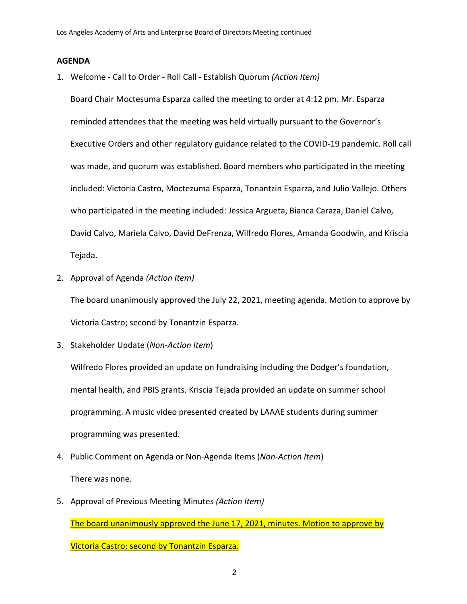### **AGENDA**

1. Welcome - Call to Order - Roll Call - Establish Quorum *(Action Item)*

Board Chair Moctesuma Esparza called the meeting to order at 4:12 pm. Mr. Esparza reminded attendees that the meeting was held virtually pursuant to the Governor's Executive Orders and other regulatory guidance related to the COVID-19 pandemic. Roll call was made, and quorum was established. Board members who participated in the meeting included: Victoria Castro, Moctezuma Esparza, Tonantzin Esparza, and Julio Vallejo. Others who participated in the meeting included: Jessica Argueta, Bianca Caraza, Daniel Calvo, David Calvo, Mariela Calvo, David DeFrenza, Wilfredo Flores, Amanda Goodwin, and Kriscia Tejada.

2. Approval of Agenda *(Action Item)*

The board unanimously approved the July 22, 2021, meeting agenda. Motion to approve by Victoria Castro; second by Tonantzin Esparza.

3. Stakeholder Update (*Non-Action Item*)

Wilfredo Flores provided an update on fundraising including the Dodger's foundation, mental health, and PBIS grants. Kriscia Tejada provided an update on summer school programming. A music video presented created by LAAAE students during summer programming was presented.

- 4. Public Comment on Agenda or Non-Agenda Items (*Non-Action Item*) There was none.
- 5. Approval of Previous Meeting Minutes *(Action Item)* The board unanimously approved the June 17, 2021, minutes. Motion to approve by Victoria Castro; second by Tonantzin Esparza.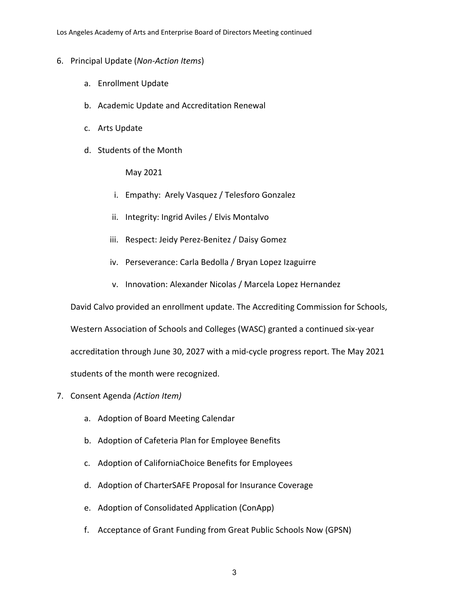Los Angeles Academy of Arts and Enterprise Board of Directors Meeting continued

- 6. Principal Update (*Non-Action Items*)
	- a. Enrollment Update
	- b. Academic Update and Accreditation Renewal
	- c. Arts Update
	- d. Students of the Month

May 2021

- i. Empathy: Arely Vasquez / Telesforo Gonzalez
- ii. Integrity: Ingrid Aviles / Elvis Montalvo
- iii. Respect: Jeidy Perez-Benitez / Daisy Gomez
- iv. Perseverance: Carla Bedolla / Bryan Lopez Izaguirre
- v. Innovation: Alexander Nicolas / Marcela Lopez Hernandez

David Calvo provided an enrollment update. The Accrediting Commission for Schools,

Western Association of Schools and Colleges (WASC) granted a continued six-year

accreditation through June 30, 2027 with a mid-cycle progress report. The May 2021

students of the month were recognized.

- 7. Consent Agenda *(Action Item)*
	- a. Adoption of Board Meeting Calendar
	- b. Adoption of Cafeteria Plan for Employee Benefits
	- c. Adoption of CaliforniaChoice Benefits for Employees
	- d. Adoption of CharterSAFE Proposal for Insurance Coverage
	- e. Adoption of Consolidated Application (ConApp)
	- f. Acceptance of Grant Funding from Great Public Schools Now (GPSN)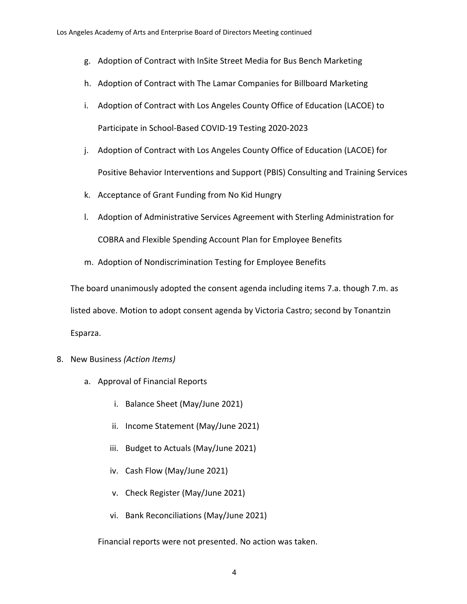- g. Adoption of Contract with InSite Street Media for Bus Bench Marketing
- h. Adoption of Contract with The Lamar Companies for Billboard Marketing
- i. Adoption of Contract with Los Angeles County Office of Education (LACOE) to Participate in School-Based COVID-19 Testing 2020-2023
- j. Adoption of Contract with Los Angeles County Office of Education (LACOE) for Positive Behavior Interventions and Support (PBIS) Consulting and Training Services
- k. Acceptance of Grant Funding from No Kid Hungry
- l. Adoption of Administrative Services Agreement with Sterling Administration for COBRA and Flexible Spending Account Plan for Employee Benefits
- m. Adoption of Nondiscrimination Testing for Employee Benefits

The board unanimously adopted the consent agenda including items 7.a. though 7.m. as listed above. Motion to adopt consent agenda by Victoria Castro; second by Tonantzin Esparza.

- 8. New Business *(Action Items)*
	- a. Approval of Financial Reports
		- i. Balance Sheet (May/June 2021)
		- ii. Income Statement (May/June 2021)
		- iii. Budget to Actuals (May/June 2021)
		- iv. Cash Flow (May/June 2021)
		- v. Check Register (May/June 2021)
		- vi. Bank Reconciliations (May/June 2021)

Financial reports were not presented. No action was taken.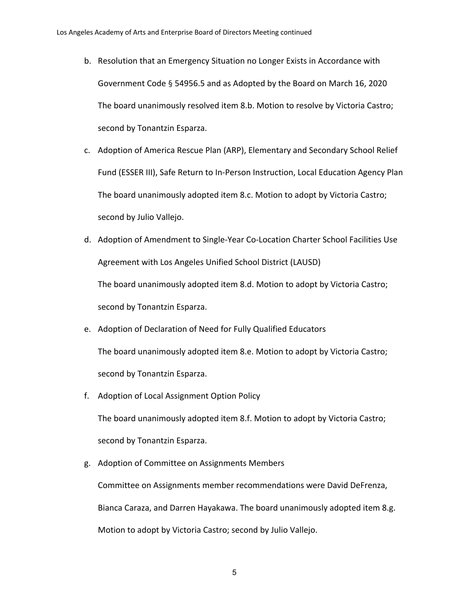- b. Resolution that an Emergency Situation no Longer Exists in Accordance with Government Code § 54956.5 and as Adopted by the Board on March 16, 2020 The board unanimously resolved item 8.b. Motion to resolve by Victoria Castro; second by Tonantzin Esparza.
- c. Adoption of America Rescue Plan (ARP), Elementary and Secondary School Relief Fund (ESSER III), Safe Return to In-Person Instruction, Local Education Agency Plan The board unanimously adopted item 8.c. Motion to adopt by Victoria Castro; second by Julio Vallejo.
- d. Adoption of Amendment to Single-Year Co-Location Charter School Facilities Use Agreement with Los Angeles Unified School District (LAUSD) The board unanimously adopted item 8.d. Motion to adopt by Victoria Castro; second by Tonantzin Esparza.
- e. Adoption of Declaration of Need for Fully Qualified Educators The board unanimously adopted item 8.e. Motion to adopt by Victoria Castro; second by Tonantzin Esparza.
- f. Adoption of Local Assignment Option Policy

The board unanimously adopted item 8.f. Motion to adopt by Victoria Castro; second by Tonantzin Esparza.

g. Adoption of Committee on Assignments Members

Committee on Assignments member recommendations were David DeFrenza, Bianca Caraza, and Darren Hayakawa. The board unanimously adopted item 8.g. Motion to adopt by Victoria Castro; second by Julio Vallejo.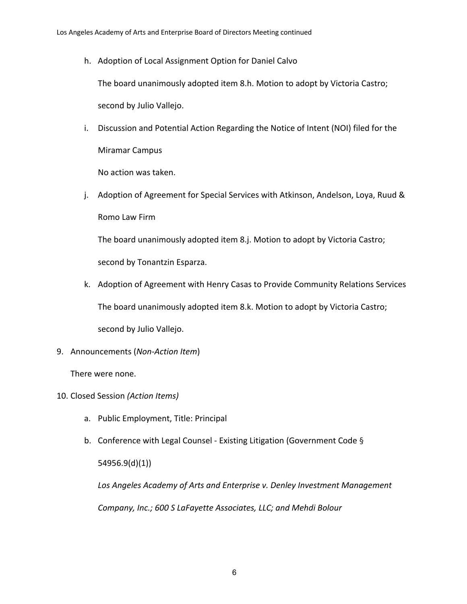h. Adoption of Local Assignment Option for Daniel Calvo

The board unanimously adopted item 8.h. Motion to adopt by Victoria Castro;

second by Julio Vallejo.

i. Discussion and Potential Action Regarding the Notice of Intent (NOI) filed for the Miramar Campus

No action was taken.

j. Adoption of Agreement for Special Services with Atkinson, Andelson, Loya, Ruud & Romo Law Firm

The board unanimously adopted item 8.j. Motion to adopt by Victoria Castro; second by Tonantzin Esparza.

- k. Adoption of Agreement with Henry Casas to Provide Community Relations Services The board unanimously adopted item 8.k. Motion to adopt by Victoria Castro; second by Julio Vallejo.
- 9. Announcements (*Non-Action Item*)

There were none.

- 10. Closed Session *(Action Items)*
	- a. Public Employment, Title: Principal
	- b. Conference with Legal Counsel Existing Litigation (Government Code § 54956.9(d)(1))

*Los Angeles Academy of Arts and Enterprise v. Denley Investment Management Company, Inc.; 600 S LaFayette Associates, LLC; and Mehdi Bolour*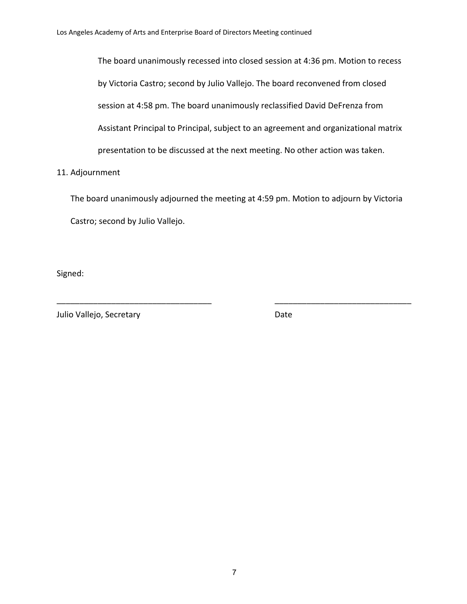The board unanimously recessed into closed session at 4:36 pm. Motion to recess by Victoria Castro; second by Julio Vallejo. The board reconvened from closed session at 4:58 pm. The board unanimously reclassified David DeFrenza from Assistant Principal to Principal, subject to an agreement and organizational matrix presentation to be discussed at the next meeting. No other action was taken.

## 11. Adjournment

The board unanimously adjourned the meeting at 4:59 pm. Motion to adjourn by Victoria Castro; second by Julio Vallejo.

\_\_\_\_\_\_\_\_\_\_\_\_\_\_\_\_\_\_\_\_\_\_\_\_\_\_\_\_\_\_\_\_\_\_ \_\_\_\_\_\_\_\_\_\_\_\_\_\_\_\_\_\_\_\_\_\_\_\_\_\_\_\_\_\_

Signed:

Julio Vallejo, Secretary **Date**